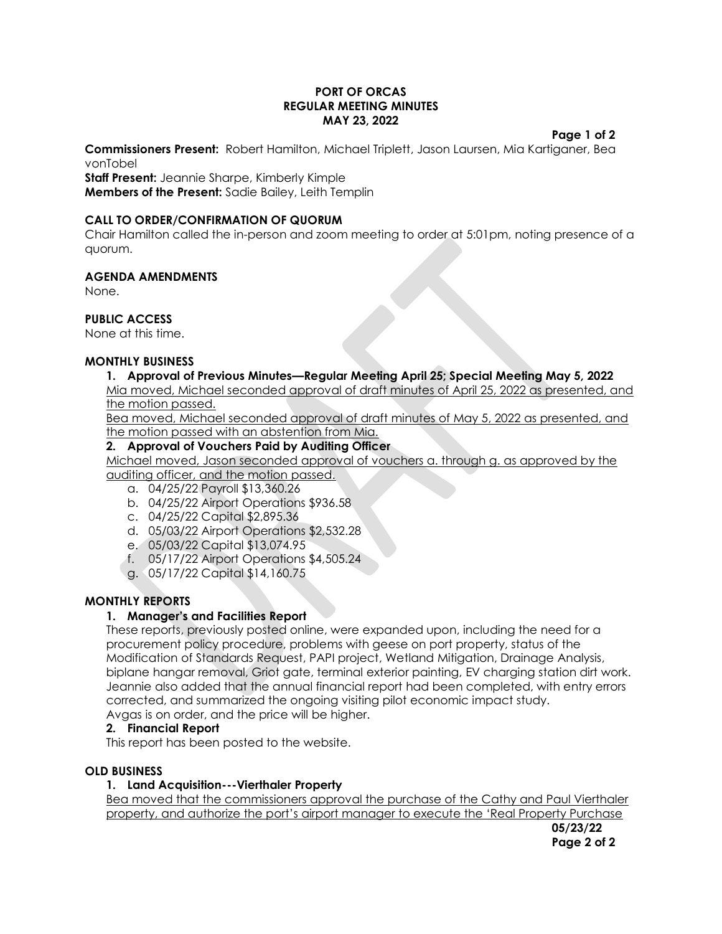#### **PORT OF ORCAS REGULAR MEETING MINUTES MAY 23, 2022**

#### **Page 1 of 2**

**Commissioners Present:** Robert Hamilton, Michael Triplett, Jason Laursen, Mia Kartiganer, Bea vonTobel

**Staff Present:** Jeannie Sharpe, Kimberly Kimple **Members of the Present:** Sadie Bailey, Leith Templin

## **CALL TO ORDER/CONFIRMATION OF QUORUM**

Chair Hamilton called the in-person and zoom meeting to order at 5:01pm, noting presence of a quorum.

## **AGENDA AMENDMENTS**

None.

## **PUBLIC ACCESS**

None at this time.

### **MONTHLY BUSINESS**

## **1. Approval of Previous Minutes—Regular Meeting April 25; Special Meeting May 5, 2022**

Mia moved, Michael seconded approval of draft minutes of April 25, 2022 as presented, and the motion passed.

Bea moved, Michael seconded approval of draft minutes of May 5, 2022 as presented, and the motion passed with an abstention from Mia.

### **2. Approval of Vouchers Paid by Auditing Officer**

Michael moved, Jason seconded approval of vouchers a. through g. as approved by the auditing officer, and the motion passed.

- a. 04/25/22 Payroll \$13,360.26
- b. 04/25/22 Airport Operations \$936.58
- c. 04/25/22 Capital \$2,895.36
- d. 05/03/22 Airport Operations \$2,532.28
- e. 05/03/22 Capital \$13,074.95
- f. 05/17/22 Airport Operations \$4,505.24
- g. 05/17/22 Capital \$14,160.75

### **MONTHLY REPORTS**

### **1. Manager's and Facilities Report**

These reports, previously posted online, were expanded upon, including the need for a procurement policy procedure, problems with geese on port property, status of the Modification of Standards Request, PAPI project, Wetland Mitigation, Drainage Analysis, biplane hangar removal, Griot gate, terminal exterior painting, EV charging station dirt work. Jeannie also added that the annual financial report had been completed, with entry errors corrected, and summarized the ongoing visiting pilot economic impact study. Avgas is on order, and the price will be higher.

### **2. Financial Report**

This report has been posted to the website.

### **OLD BUSINESS**

### **1. Land Acquisition---Vierthaler Property**

Bea moved that the commissioners approval the purchase of the Cathy and Paul Vierthaler property, and authorize the port's airport manager to execute the 'Real Property Purchase

**05/23/22 Page 2 of 2**